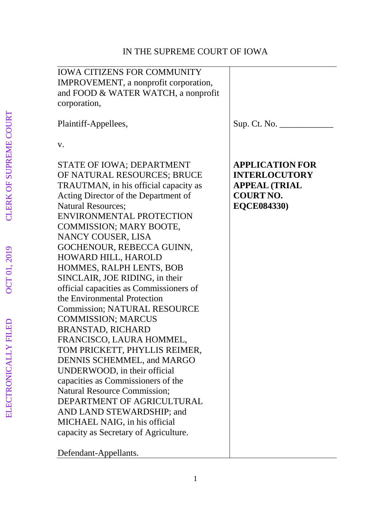# IN THE SUPREME COURT OF IOWA

| <b>IOWA CITIZENS FOR COMMUNITY</b><br>IMPROVEMENT, a nonprofit corporation,<br>and FOOD & WATER WATCH, a nonprofit<br>corporation,                                                                                                                                                                                                                                                                                                                                                                                                                                                                                                                                                                                                                                                                                                                                                                   |                                                                                                                  |
|------------------------------------------------------------------------------------------------------------------------------------------------------------------------------------------------------------------------------------------------------------------------------------------------------------------------------------------------------------------------------------------------------------------------------------------------------------------------------------------------------------------------------------------------------------------------------------------------------------------------------------------------------------------------------------------------------------------------------------------------------------------------------------------------------------------------------------------------------------------------------------------------------|------------------------------------------------------------------------------------------------------------------|
| Plaintiff-Appellees,                                                                                                                                                                                                                                                                                                                                                                                                                                                                                                                                                                                                                                                                                                                                                                                                                                                                                 |                                                                                                                  |
| V.                                                                                                                                                                                                                                                                                                                                                                                                                                                                                                                                                                                                                                                                                                                                                                                                                                                                                                   |                                                                                                                  |
| STATE OF IOWA; DEPARTMENT<br>OF NATURAL RESOURCES; BRUCE<br>TRAUTMAN, in his official capacity as<br>Acting Director of the Department of<br><b>Natural Resources:</b><br><b>ENVIRONMENTAL PROTECTION</b><br>COMMISSION; MARY BOOTE,<br>NANCY COUSER, LISA<br>GOCHENOUR, REBECCA GUINN,<br>HOWARD HILL, HAROLD<br>HOMMES, RALPH LENTS, BOB<br>SINCLAIR, JOE RIDING, in their<br>official capacities as Commissioners of<br>the Environmental Protection<br><b>Commission; NATURAL RESOURCE</b><br><b>COMMISSION; MARCUS</b><br><b>BRANSTAD, RICHARD</b><br>FRANCISCO, LAURA HOMMEL,<br>TOM PRICKETT, PHYLLIS REIMER,<br>DENNIS SCHEMMEL, and MARGO<br>UNDERWOOD, in their official<br>capacities as Commissioners of the<br><b>Natural Resource Commission;</b><br>DEPARTMENT OF AGRICULTURAL<br>AND LAND STEWARDSHIP; and<br>MICHAEL NAIG, in his official<br>capacity as Secretary of Agriculture. | <b>APPLICATION FOR</b><br><b>INTERLOCUTORY</b><br><b>APPEAL (TRIAL</b><br><b>COURT NO.</b><br><b>EQCE084330)</b> |
|                                                                                                                                                                                                                                                                                                                                                                                                                                                                                                                                                                                                                                                                                                                                                                                                                                                                                                      |                                                                                                                  |

Defendant-Appellants.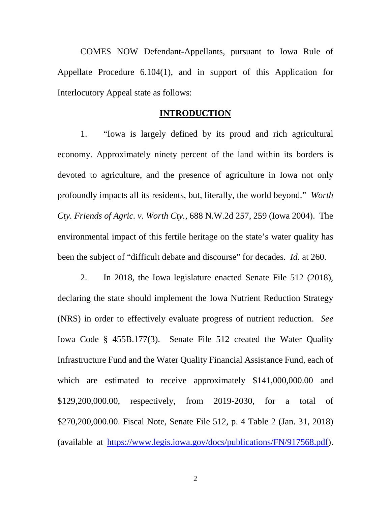COMES NOW Defendant-Appellants, pursuant to Iowa Rule of Appellate Procedure 6.104(1), and in support of this Application for Interlocutory Appeal state as follows:

#### **INTRODUCTION**

1. "Iowa is largely defined by its proud and rich agricultural economy. Approximately ninety percent of the land within its borders is devoted to agriculture, and the presence of agriculture in Iowa not only profoundly impacts all its residents, but, literally, the world beyond." *Worth Cty. Friends of Agric. v. Worth Cty.*, 688 N.W.2d 257, 259 (Iowa 2004). The environmental impact of this fertile heritage on the state's water quality has been the subject of "difficult debate and discourse" for decades. *Id.* at 260.

2. In 2018, the Iowa legislature enacted Senate File 512 (2018), declaring the state should implement the Iowa Nutrient Reduction Strategy (NRS) in order to effectively evaluate progress of nutrient reduction. *See* Iowa Code § 455B.177(3). Senate File 512 created the Water Quality Infrastructure Fund and the Water Quality Financial Assistance Fund, each of which are estimated to receive approximately \$141,000,000.00 and \$129,200,000.00, respectively, from 2019-2030, for a total of \$270,200,000.00. Fiscal Note, Senate File 512, p. 4 Table 2 (Jan. 31, 2018) (available at https://www.legis.iowa.gov/docs/publications/FN/917568.pdf).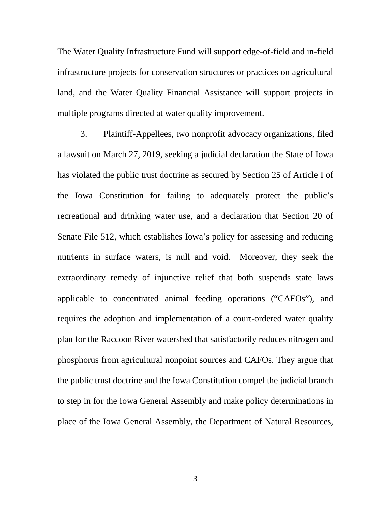The Water Quality Infrastructure Fund will support edge-of-field and in-field infrastructure projects for conservation structures or practices on agricultural land, and the Water Quality Financial Assistance will support projects in multiple programs directed at water quality improvement.

3. Plaintiff-Appellees, two nonprofit advocacy organizations, filed a lawsuit on March 27, 2019, seeking a judicial declaration the State of Iowa has violated the public trust doctrine as secured by Section 25 of Article I of the Iowa Constitution for failing to adequately protect the public's recreational and drinking water use, and a declaration that Section 20 of Senate File 512, which establishes Iowa's policy for assessing and reducing nutrients in surface waters, is null and void. Moreover, they seek the extraordinary remedy of injunctive relief that both suspends state laws applicable to concentrated animal feeding operations ("CAFOs"), and requires the adoption and implementation of a court-ordered water quality plan for the Raccoon River watershed that satisfactorily reduces nitrogen and phosphorus from agricultural nonpoint sources and CAFOs. They argue that the public trust doctrine and the Iowa Constitution compel the judicial branch to step in for the Iowa General Assembly and make policy determinations in place of the Iowa General Assembly, the Department of Natural Resources,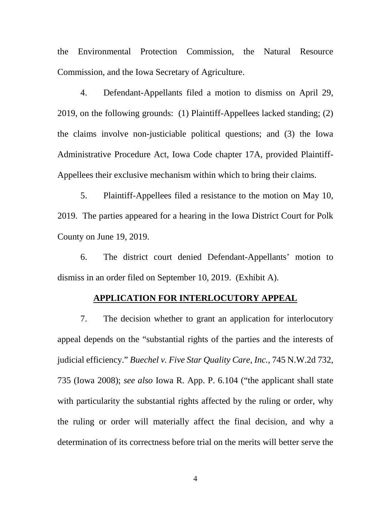the Environmental Protection Commission, the Natural Resource Commission, and the Iowa Secretary of Agriculture.

4. Defendant-Appellants filed a motion to dismiss on April 29, 2019, on the following grounds: (1) Plaintiff-Appellees lacked standing; (2) the claims involve non-justiciable political questions; and (3) the Iowa Administrative Procedure Act, Iowa Code chapter 17A, provided Plaintiff-Appellees their exclusive mechanism within which to bring their claims.

5. Plaintiff-Appellees filed a resistance to the motion on May 10, 2019. The parties appeared for a hearing in the Iowa District Court for Polk County on June 19, 2019.

6. The district court denied Defendant-Appellants' motion to dismiss in an order filed on September 10, 2019. (Exhibit A).

### **APPLICATION FOR INTERLOCUTORY APPEAL**

7. The decision whether to grant an application for interlocutory appeal depends on the "substantial rights of the parties and the interests of judicial efficiency." *Buechel v. Five Star Quality Care, Inc.*, 745 N.W.2d 732, 735 (Iowa 2008); *see also* Iowa R. App. P. 6.104 ("the applicant shall state with particularity the substantial rights affected by the ruling or order, why the ruling or order will materially affect the final decision, and why a determination of its correctness before trial on the merits will better serve the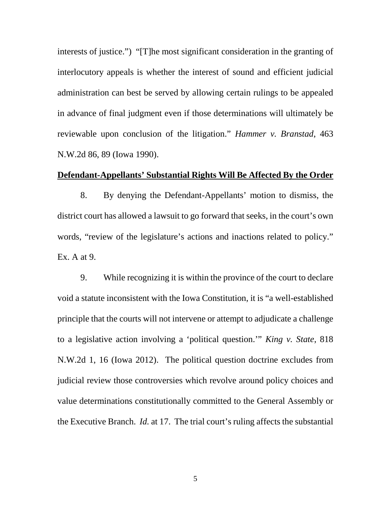interests of justice.") "[T]he most significant consideration in the granting of interlocutory appeals is whether the interest of sound and efficient judicial administration can best be served by allowing certain rulings to be appealed in advance of final judgment even if those determinations will ultimately be reviewable upon conclusion of the litigation." *Hammer v. Branstad*, 463 N.W.2d 86, 89 (Iowa 1990).

### **Defendant-Appellants' Substantial Rights Will Be Affected By the Order**

8. By denying the Defendant-Appellants' motion to dismiss, the district court has allowed a lawsuit to go forward that seeks, in the court's own words, "review of the legislature's actions and inactions related to policy." Ex. A at 9.

9. While recognizing it is within the province of the court to declare void a statute inconsistent with the Iowa Constitution, it is "a well-established principle that the courts will not intervene or attempt to adjudicate a challenge to a legislative action involving a 'political question.'" *King v. State*, 818 N.W.2d 1, 16 (Iowa 2012). The political question doctrine excludes from judicial review those controversies which revolve around policy choices and value determinations constitutionally committed to the General Assembly or the Executive Branch. *Id.* at 17. The trial court's ruling affects the substantial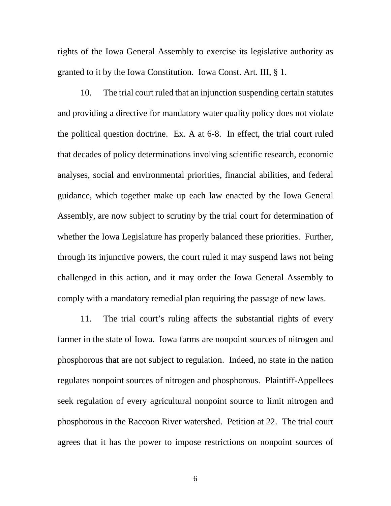rights of the Iowa General Assembly to exercise its legislative authority as granted to it by the Iowa Constitution. Iowa Const. Art. III, § 1.

10. The trial court ruled that an injunction suspending certain statutes and providing a directive for mandatory water quality policy does not violate the political question doctrine. Ex. A at 6-8. In effect, the trial court ruled that decades of policy determinations involving scientific research, economic analyses, social and environmental priorities, financial abilities, and federal guidance, which together make up each law enacted by the Iowa General Assembly, are now subject to scrutiny by the trial court for determination of whether the Iowa Legislature has properly balanced these priorities. Further, through its injunctive powers, the court ruled it may suspend laws not being challenged in this action, and it may order the Iowa General Assembly to comply with a mandatory remedial plan requiring the passage of new laws.

11. The trial court's ruling affects the substantial rights of every farmer in the state of Iowa. Iowa farms are nonpoint sources of nitrogen and phosphorous that are not subject to regulation. Indeed, no state in the nation regulates nonpoint sources of nitrogen and phosphorous. Plaintiff-Appellees seek regulation of every agricultural nonpoint source to limit nitrogen and phosphorous in the Raccoon River watershed. Petition at 22. The trial court agrees that it has the power to impose restrictions on nonpoint sources of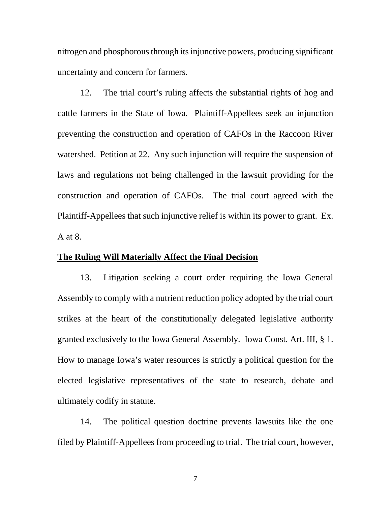nitrogen and phosphorous through its injunctive powers, producing significant uncertainty and concern for farmers.

12. The trial court's ruling affects the substantial rights of hog and cattle farmers in the State of Iowa. Plaintiff-Appellees seek an injunction preventing the construction and operation of CAFOs in the Raccoon River watershed. Petition at 22. Any such injunction will require the suspension of laws and regulations not being challenged in the lawsuit providing for the construction and operation of CAFOs. The trial court agreed with the Plaintiff-Appellees that such injunctive relief is within its power to grant. Ex. A at 8.

## **The Ruling Will Materially Affect the Final Decision**

13. Litigation seeking a court order requiring the Iowa General Assembly to comply with a nutrient reduction policy adopted by the trial court strikes at the heart of the constitutionally delegated legislative authority granted exclusively to the Iowa General Assembly. Iowa Const. Art. III, § 1. How to manage Iowa's water resources is strictly a political question for the elected legislative representatives of the state to research, debate and ultimately codify in statute.

14. The political question doctrine prevents lawsuits like the one filed by Plaintiff-Appellees from proceeding to trial. The trial court, however,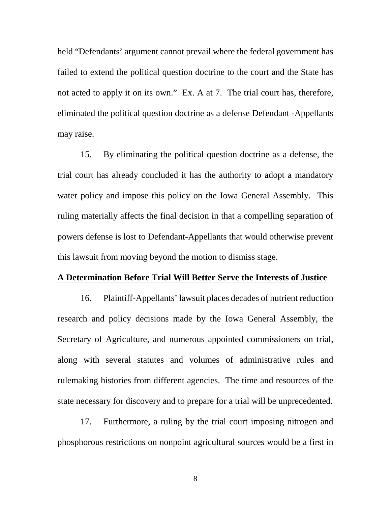held "Defendants' argument cannot prevail where the federal government has failed to extend the political question doctrine to the court and the State has not acted to apply it on its own." Ex. A at 7. The trial court has, therefore, eliminated the political question doctrine as a defense Defendant -Appellants may raise.

15. By eliminating the political question doctrine as a defense, the trial court has already concluded it has the authority to adopt a mandatory water policy and impose this policy on the Iowa General Assembly. This ruling materially affects the final decision in that a compelling separation of powers defense is lost to Defendant-Appellants that would otherwise prevent this lawsuit from moving beyond the motion to dismiss stage.

#### **A Determination Before Trial Will Better Serve the Interests of Justice**

16. Plaintiff-Appellants' lawsuit places decades of nutrient reduction research and policy decisions made by the Iowa General Assembly, the Secretary of Agriculture, and numerous appointed commissioners on trial, along with several statutes and volumes of administrative rules and rulemaking histories from different agencies. The time and resources of the state necessary for discovery and to prepare for a trial will be unprecedented.

17. Furthermore, a ruling by the trial court imposing nitrogen and phosphorous restrictions on nonpoint agricultural sources would be a first in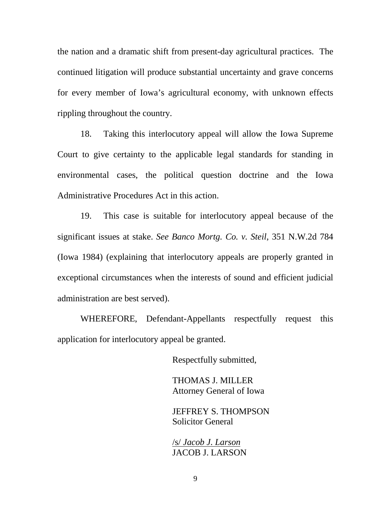the nation and a dramatic shift from present-day agricultural practices. The continued litigation will produce substantial uncertainty and grave concerns for every member of Iowa's agricultural economy, with unknown effects rippling throughout the country.

18. Taking this interlocutory appeal will allow the Iowa Supreme Court to give certainty to the applicable legal standards for standing in environmental cases, the political question doctrine and the Iowa Administrative Procedures Act in this action.

19. This case is suitable for interlocutory appeal because of the significant issues at stake. *See Banco Mortg. Co. v. Steil*, 351 N.W.2d 784 (Iowa 1984) (explaining that interlocutory appeals are properly granted in exceptional circumstances when the interests of sound and efficient judicial administration are best served).

WHEREFORE, Defendant-Appellants respectfully request this application for interlocutory appeal be granted.

Respectfully submitted,

THOMAS J. MILLER Attorney General of Iowa

JEFFREY S. THOMPSON Solicitor General

/s/ *Jacob J. Larson* JACOB J. LARSON